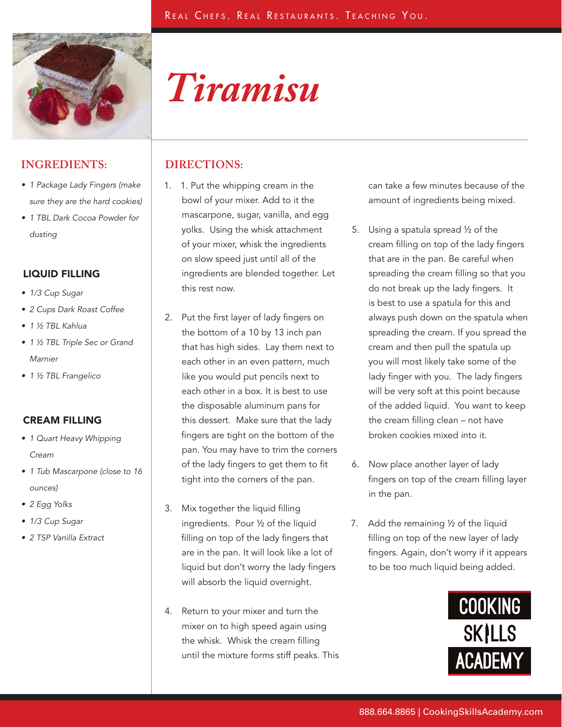

# *Tiramisu*

## **INGREDIENTS: DIRECTIONS:**

- 1 Package Lady Fingers (make sure they are the hard cookies)
- 1 TBL Dark Cocoa Powder for dusting

### LIQUID FILLING

- 1/3 Cup Sugar
- 2 Cups Dark Roast Coffee
- 1 ½ TBL Kahlua
- 1 ½ TBL Triple Sec or Grand Marnier
- 1 ½ TBL Frangelico

### CREAM FILLING

- 1 Quart Heavy Whipping Cream
- 1 Tub Mascarpone (close to 16 ounces)
- 2 Egg Yolks
- 1/3 Cup Sugar
- 2 TSP Vanilla Extract

- 1. 1. Put the whipping cream in the bowl of your mixer. Add to it the mascarpone, sugar, vanilla, and egg yolks. Using the whisk attachment of your mixer, whisk the ingredients on slow speed just until all of the ingredients are blended together. Let this rest now.
- 2. Put the first layer of lady fingers on the bottom of a 10 by 13 inch pan that has high sides. Lay them next to each other in an even pattern, much like you would put pencils next to each other in a box. It is best to use the disposable aluminum pans for this dessert. Make sure that the lady fingers are tight on the bottom of the pan. You may have to trim the corners of the lady fingers to get them to fit tight into the corners of the pan.
- 3. Mix together the liquid filling ingredients. Pour ½ of the liquid filling on top of the lady fingers that are in the pan. It will look like a lot of liquid but don't worry the lady fingers will absorb the liquid overnight.
- 4. Return to your mixer and turn the mixer on to high speed again using the whisk. Whisk the cream filling until the mixture forms stiff peaks. This

can take a few minutes because of the amount of ingredients being mixed.

- 5. Using a spatula spread ½ of the cream filling on top of the lady fingers that are in the pan. Be careful when spreading the cream filling so that you do not break up the lady fingers. It is best to use a spatula for this and always push down on the spatula when spreading the cream. If you spread the cream and then pull the spatula up you will most likely take some of the lady finger with you. The lady fingers will be very soft at this point because of the added liquid. You want to keep the cream filling clean – not have broken cookies mixed into it.
- 6. Now place another layer of lady fingers on top of the cream filling layer in the pan.
- 7. Add the remaining ½ of the liquid filling on top of the new layer of lady fingers. Again, don't worry if it appears to be too much liquid being added.